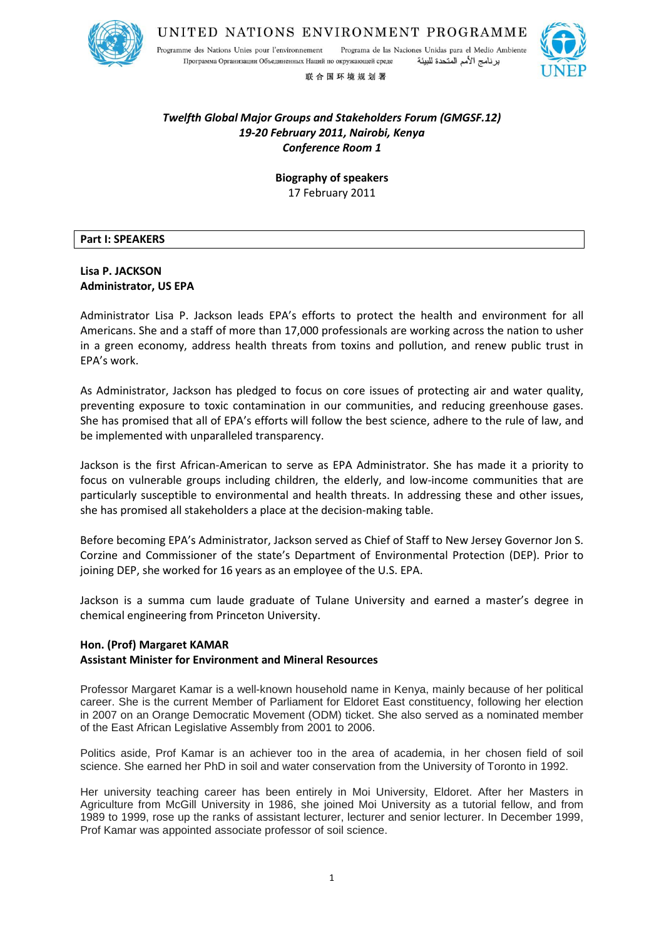

UNITED NATIONS ENVIRONMENT PROGRAMME

Programme des Nations Unies pour l'environnement Programa de las Naciones Unidas para el Medio Ambiente برنامج الأمم المتحدة للبيئة Программа Организации Объединенных Наций по окружающей среде

联合国环境规划署



# *Twelfth Global Major Groups and Stakeholders Forum (GMGSF.12) 19-20 February 2011, Nairobi, Kenya Conference Room 1*

**Biography of speakers** 17 February 2011

### **Part I: SPEAKERS**

### **Lisa P. JACKSON Administrator, US EPA**

Administrator Lisa P. Jackson leads EPA's efforts to protect the health and environment for all Americans. She and a staff of more than 17,000 professionals are working across the nation to usher in a green economy, address health threats from toxins and pollution, and renew public trust in EPA's work.

As Administrator, Jackson has pledged to focus on core issues of protecting air and water quality, preventing exposure to toxic contamination in our communities, and reducing greenhouse gases. She has promised that all of EPA's efforts will follow the best science, adhere to the rule of law, and be implemented with unparalleled transparency.

Jackson is the first African-American to serve as EPA Administrator. She has made it a priority to focus on vulnerable groups including children, the elderly, and low-income communities that are particularly susceptible to environmental and health threats. In addressing these and other issues, she has promised all stakeholders a place at the decision-making table.

Before becoming EPA's Administrator, Jackson served as Chief of Staff to New Jersey Governor Jon S. Corzine and Commissioner of the state's Department of Environmental Protection (DEP). Prior to joining DEP, she worked for 16 years as an employee of the U.S. EPA.

Jackson is a summa cum laude graduate of Tulane University and earned a master's degree in chemical engineering from Princeton University.

# **Hon. (Prof) Margaret KAMAR Assistant Minister for Environment and Mineral Resources**

Professor Margaret Kamar is a well-known household name in Kenya, mainly because of her political career. She is the current Member of Parliament for Eldoret East constituency, following her election in 2007 on an Orange Democratic Movement (ODM) ticket. She also served as a nominated member of the East African Legislative Assembly from 2001 to 2006.

Politics aside, Prof Kamar is an achiever too in the area of academia, in her chosen field of soil science. She earned her PhD in soil and water conservation from the University of Toronto in 1992.

Her university teaching career has been entirely in Moi University, Eldoret. After her Masters in Agriculture from McGill University in 1986, she joined Moi University as a tutorial fellow, and from 1989 to 1999, rose up the ranks of assistant lecturer, lecturer and senior lecturer. In December 1999, Prof Kamar was appointed associate professor of soil science.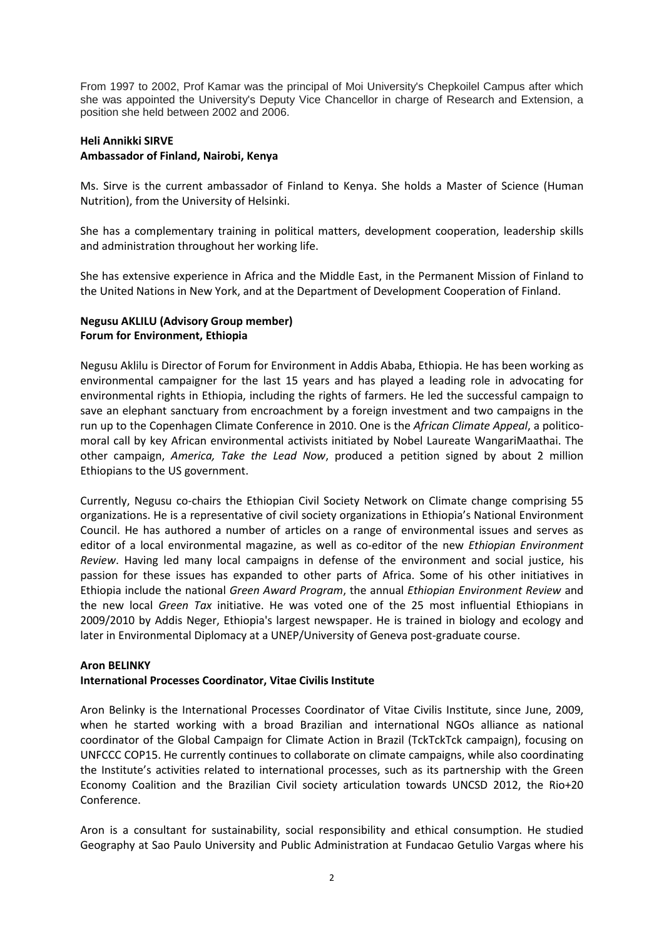From 1997 to 2002, Prof Kamar was the principal of Moi University's Chepkoilel Campus after which she was appointed the University's Deputy Vice Chancellor in charge of Research and Extension, a position she held between 2002 and 2006.

# **Heli Annikki SIRVE Ambassador of Finland, Nairobi, Kenya**

Ms. Sirve is the current ambassador of Finland to Kenya. She holds a Master of Science (Human Nutrition), from the University of Helsinki.

She has a complementary training in political matters, development cooperation, leadership skills and administration throughout her working life.

She has extensive experience in Africa and the Middle East, in the Permanent Mission of Finland to the United Nations in New York, and at the Department of Development Cooperation of Finland.

# **Negusu AKLILU (Advisory Group member) Forum for Environment, Ethiopia**

Negusu Aklilu is Director of Forum for Environment in Addis Ababa, Ethiopia. He has been working as environmental campaigner for the last 15 years and has played a leading role in advocating for environmental rights in Ethiopia, including the rights of farmers. He led the successful campaign to save an elephant sanctuary from encroachment by a foreign investment and two campaigns in the run up to the Copenhagen Climate Conference in 2010. One is the *African Climate Appeal*, a politicomoral call by key African environmental activists initiated by Nobel Laureate WangariMaathai. The other campaign, *America, Take the Lead Now*, produced a petition signed by about 2 million Ethiopians to the US government.

Currently, Negusu co-chairs the Ethiopian Civil Society Network on Climate change comprising 55 organizations. He is a representative of civil society organizations in Ethiopia's National Environment Council. He has authored a number of articles on a range of environmental issues and serves as editor of a local environmental magazine, as well as co-editor of the new *Ethiopian Environment Review*. Having led many local campaigns in defense of the environment and social justice, his passion for these issues has expanded to other parts of Africa. Some of his other initiatives in Ethiopia include the national *Green Award Program*, the annual *Ethiopian Environment Review* and the new local *Green Tax* initiative. He was voted one of the 25 most influential Ethiopians in 2009/2010 by Addis Neger, Ethiopia's largest newspaper. He is trained in biology and ecology and later in Environmental Diplomacy at a UNEP/University of Geneva post-graduate course.

## **Aron BELINKY**

## **International Processes Coordinator, Vitae Civilis Institute**

Aron Belinky is the International Processes Coordinator of Vitae Civilis Institute, since June, 2009, when he started working with a broad Brazilian and international NGOs alliance as national coordinator of the Global Campaign for Climate Action in Brazil (TckTckTck campaign), focusing on UNFCCC COP15. He currently continues to collaborate on climate campaigns, while also coordinating the Institute's activities related to international processes, such as its partnership with the Green Economy Coalition and the Brazilian Civil society articulation towards UNCSD 2012, the Rio+20 Conference.

Aron is a consultant for sustainability, social responsibility and ethical consumption. He studied Geography at Sao Paulo University and Public Administration at Fundacao Getulio Vargas where his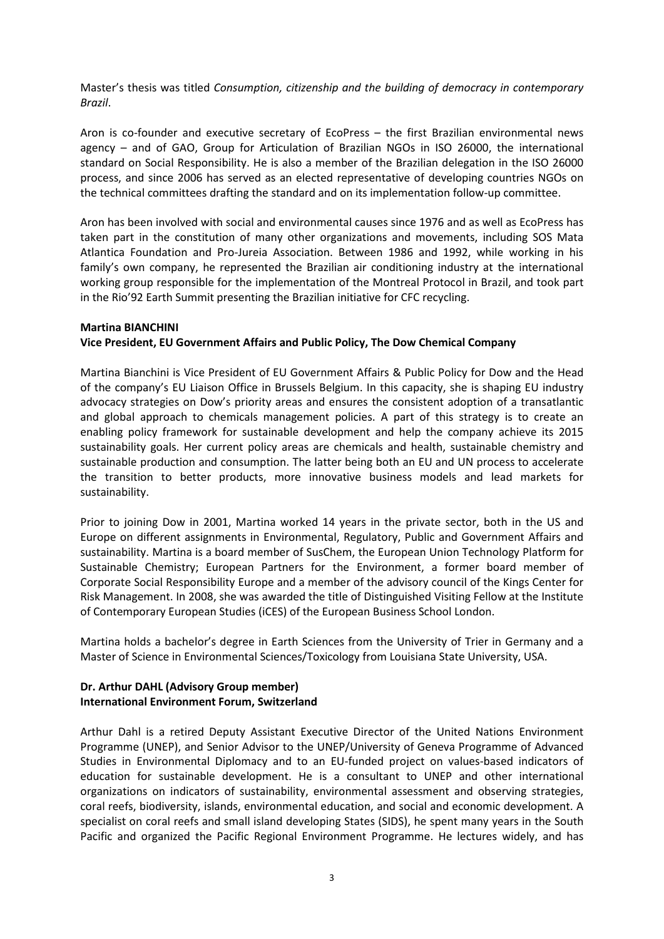Master's thesis was titled *Consumption, citizenship and the building of democracy in contemporary Brazil*.

Aron is co-founder and executive secretary of EcoPress – the first Brazilian environmental news agency – and of GAO, Group for Articulation of Brazilian NGOs in ISO 26000, the international standard on Social Responsibility. He is also a member of the Brazilian delegation in the ISO 26000 process, and since 2006 has served as an elected representative of developing countries NGOs on the technical committees drafting the standard and on its implementation follow-up committee.

Aron has been involved with social and environmental causes since 1976 and as well as EcoPress has taken part in the constitution of many other organizations and movements, including SOS Mata Atlantica Foundation and Pro-Jureia Association. Between 1986 and 1992, while working in his family's own company, he represented the Brazilian air conditioning industry at the international working group responsible for the implementation of the Montreal Protocol in Brazil, and took part in the Rio'92 Earth Summit presenting the Brazilian initiative for CFC recycling.

#### **Martina BIANCHINI**

## **Vice President, EU Government Affairs and Public Policy, The Dow Chemical Company**

Martina Bianchini is Vice President of EU Government Affairs & Public Policy for Dow and the Head of the company's EU Liaison Office in Brussels Belgium. In this capacity, she is shaping EU industry advocacy strategies on Dow's priority areas and ensures the consistent adoption of a transatlantic and global approach to chemicals management policies. A part of this strategy is to create an enabling policy framework for sustainable development and help the company achieve its 2015 sustainability goals. Her current policy areas are chemicals and health, sustainable chemistry and sustainable production and consumption. The latter being both an EU and UN process to accelerate the transition to better products, more innovative business models and lead markets for sustainability.

Prior to joining Dow in 2001, Martina worked 14 years in the private sector, both in the US and Europe on different assignments in Environmental, Regulatory, Public and Government Affairs and sustainability. Martina is a board member of SusChem, the European Union Technology Platform for Sustainable Chemistry; European Partners for the Environment, a former board member of Corporate Social Responsibility Europe and a member of the advisory council of the Kings Center for Risk Management. In 2008, she was awarded the title of Distinguished Visiting Fellow at the Institute of Contemporary European Studies (iCES) of the European Business School London.

Martina holds a bachelor's degree in Earth Sciences from the University of Trier in Germany and a Master of Science in Environmental Sciences/Toxicology from Louisiana State University, USA.

# **Dr. Arthur DAHL (Advisory Group member) International Environment Forum, Switzerland**

Arthur Dahl is a retired Deputy Assistant Executive Director of the United Nations Environment Programme (UNEP), and Senior Advisor to the UNEP/University of Geneva Programme of Advanced Studies in Environmental Diplomacy and to an EU-funded project on values-based indicators of education for sustainable development. He is a consultant to UNEP and other international organizations on indicators of sustainability, environmental assessment and observing strategies, coral reefs, biodiversity, islands, environmental education, and social and economic development. A specialist on coral reefs and small island developing States (SIDS), he spent many years in the South Pacific and organized the Pacific Regional Environment Programme. He lectures widely, and has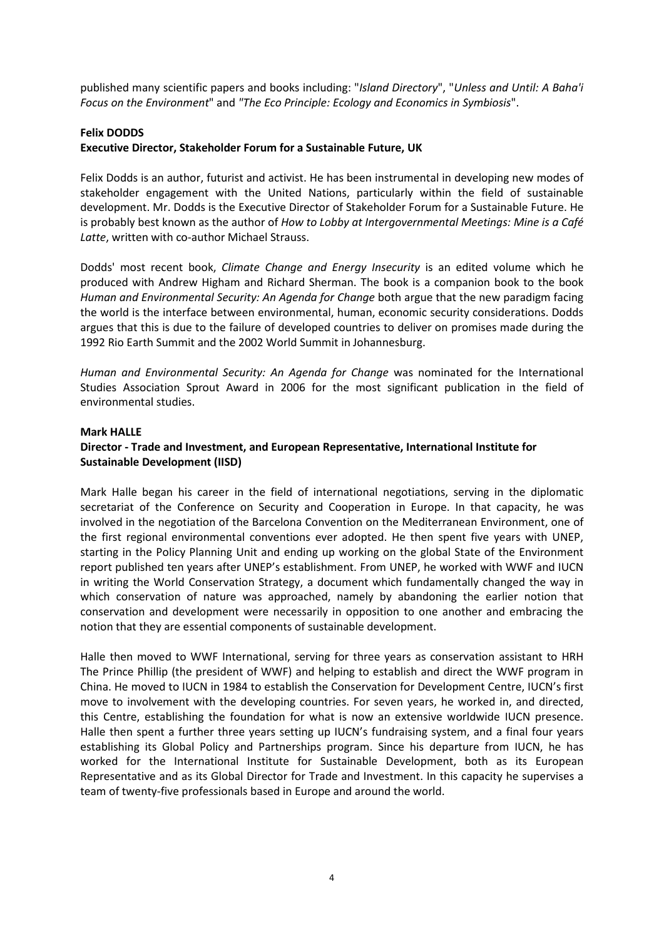published many scientific papers and books including: "*Island Directory*", "*Unless and Until: A Baha'i Focus on the Environment*" and *"The Eco Principle: Ecology and Economics in Symbiosis*".

## **Felix DODDS**

# **Executive Director, Stakeholder Forum for a Sustainable Future, UK**

Felix Dodds is an author, [futurist](http://en.wikipedia.org/wiki/Futurist) and [activist.](http://en.wikipedia.org/wiki/Activist) He has been instrumental in developing new modes of stakeholder engagement with the [United Nations,](http://en.wikipedia.org/wiki/United_Nations) particularly within the field of [sustainable](http://en.wikipedia.org/wiki/Sustainable_development)  [development.](http://en.wikipedia.org/wiki/Sustainable_development) Mr. Dodds is th[e Executive Director](http://en.wikipedia.org/wiki/Executive_Director) of [Stakeholder Forum for a Sustainable Future.](http://en.wikipedia.org/wiki/Stakeholder_Forum_for_a_Sustainable_Future) He is probably best known as th[e author](http://en.wikipedia.org/wiki/Author) of *How to Lobby at Intergovernmental Meetings: Mine is a Café Latte*, written with co-author Michael Strauss.

Dodds' most recent book, *Climate Change and Energy Insecurity* is an edited volume which he produced with Andrew Higham and Richard Sherman. The book is a companion book to the book *Human and Environmental Security: An Agenda for Change* both argue that the new [paradigm](http://en.wikipedia.org/wiki/Paradigm) facing the world is the interface between environmental, human, economic security considerations. Dodds argues that this is due to the failure of developed countries to deliver on promises made during the [1992 Rio Earth Summit](http://en.wikipedia.org/wiki/Earth_Summit_(1992)) and the [2002 World Summit in Johannesburg.](http://en.wikipedia.org/wiki/Earth_Summit_2002)

*Human and Environmental Security: An Agenda for Change* was nominated for the [International](http://en.wikipedia.org/wiki/International_Studies_Association)  [Studies Association](http://en.wikipedia.org/wiki/International_Studies_Association) Sprout Award in 2006 for the most significant publication in the field of [environmental studies.](http://en.wikipedia.org/wiki/Environmental_studies)

## **Mark HALLE**

## **Director - Trade and Investment, and European Representative, International Institute for Sustainable Development (IISD)**

Mark Halle began his career in the field of international negotiations, serving in the diplomatic secretariat of the Conference on Security and Cooperation in Europe. In that capacity, he was involved in the negotiation of the Barcelona Convention on the Mediterranean Environment, one of the first regional environmental conventions ever adopted. He then spent five years with UNEP, starting in the Policy Planning Unit and ending up working on the global State of the Environment report published ten years after UNEP's establishment. From UNEP, he worked with WWF and IUCN in writing the World Conservation Strategy, a document which fundamentally changed the way in which conservation of nature was approached, namely by abandoning the earlier notion that conservation and development were necessarily in opposition to one another and embracing the notion that they are essential components of sustainable development.

Halle then moved to WWF International, serving for three years as conservation assistant to HRH The Prince Phillip (the president of WWF) and helping to establish and direct the WWF program in China. He moved to IUCN in 1984 to establish the Conservation for Development Centre, IUCN's first move to involvement with the developing countries. For seven years, he worked in, and directed, this Centre, establishing the foundation for what is now an extensive worldwide IUCN presence. Halle then spent a further three years setting up IUCN's fundraising system, and a final four years establishing its Global Policy and Partnerships program. Since his departure from IUCN, he has worked for the International Institute for Sustainable Development, both as its European Representative and as its Global Director for Trade and Investment. In this capacity he supervises a team of twenty-five professionals based in Europe and around the world.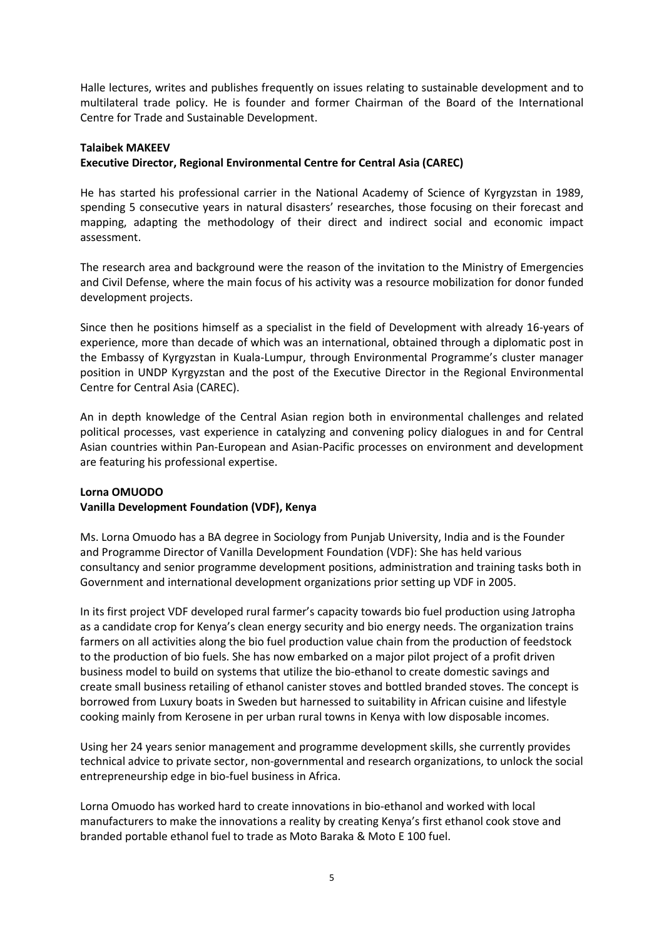Halle lectures, writes and publishes frequently on issues relating to sustainable development and to multilateral trade policy. He is founder and former Chairman of the Board of the International Centre for Trade and Sustainable Development.

## **Talaibek MAKEEV**

# **Executive Director, Regional Environmental Centre for Central Asia (CAREC)**

He has started his professional carrier in the National Academy of Science of Kyrgyzstan in 1989, spending 5 consecutive years in natural disasters' researches, those focusing on their forecast and mapping, adapting the methodology of their direct and indirect social and economic impact assessment.

The research area and background were the reason of the invitation to the Ministry of Emergencies and Civil Defense, where the main focus of his activity was a resource mobilization for donor funded development projects.

Since then he positions himself as a specialist in the field of Development with already 16-years of experience, more than decade of which was an international, obtained through a diplomatic post in the Embassy of Kyrgyzstan in Kuala-Lumpur, through Environmental Programme's cluster manager position in UNDP Kyrgyzstan and the post of the Executive Director in the Regional Environmental Centre for Central Asia (CAREC).

An in depth knowledge of the Central Asian region both in environmental challenges and related political processes, vast experience in catalyzing and convening policy dialogues in and for Central Asian countries within Pan-European and Asian-Pacific processes on environment and development are featuring his professional expertise.

# **Lorna OMUODO Vanilla Development Foundation (VDF), Kenya**

Ms. Lorna Omuodo has a BA degree in Sociology from Punjab University, India and is the Founder and Programme Director of Vanilla Development Foundation (VDF): She has held various consultancy and senior programme development positions, administration and training tasks both in Government and international development organizations prior setting up VDF in 2005.

In its first project VDF developed rural farmer's capacity towards bio fuel production using Jatropha as a candidate crop for Kenya's clean energy security and bio energy needs. The organization trains farmers on all activities along the bio fuel production value chain from the production of feedstock to the production of bio fuels. She has now embarked on a major pilot project of a profit driven business model to build on systems that utilize the bio-ethanol to create domestic savings and create small business retailing of ethanol canister stoves and bottled branded stoves. The concept is borrowed from Luxury boats in Sweden but harnessed to suitability in African cuisine and lifestyle cooking mainly from Kerosene in per urban rural towns in Kenya with low disposable incomes.

Using her 24 years senior management and programme development skills, she currently provides technical advice to private sector, non-governmental and research organizations, to unlock the social entrepreneurship edge in bio-fuel business in Africa.

Lorna Omuodo has worked hard to create innovations in bio-ethanol and worked with local manufacturers to make the innovations a reality by creating Kenya's first ethanol cook stove and branded portable ethanol fuel to trade as Moto Baraka & Moto E 100 fuel.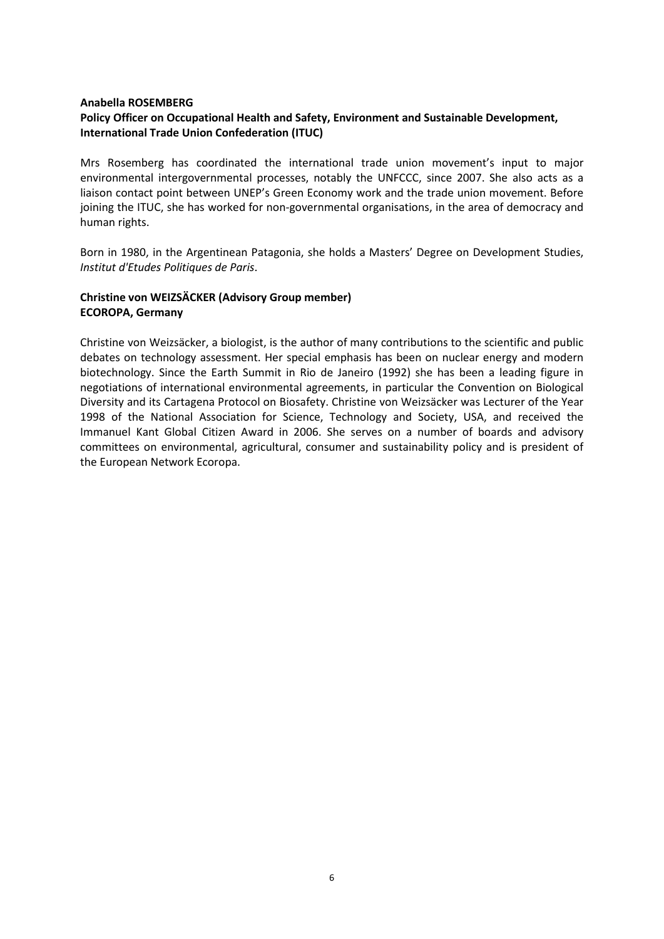# **Anabella ROSEMBERG**

# **Policy Officer on Occupational Health and Safety, Environment and Sustainable Development, International Trade Union Confederation (ITUC)**

Mrs Rosemberg has coordinated the international trade union movement's input to major environmental intergovernmental processes, notably the UNFCCC, since 2007. She also acts as a liaison contact point between UNEP's Green Economy work and the trade union movement. Before joining the ITUC, she has worked for non-governmental organisations, in the area of democracy and human rights.

Born in 1980, in the Argentinean Patagonia, she holds a Masters' Degree on Development Studies, *Institut d'Etudes Politiques de Paris*.

## **Christine von WEIZSÄCKER (Advisory Group member) ECOROPA, Germany**

Christine von Weizsäcker, a biologist, is the author of many contributions to the scientific and public debates on technology assessment. Her special emphasis has been on nuclear energy and modern biotechnology. Since the Earth Summit in Rio de Janeiro (1992) she has been a leading figure in negotiations of international environmental agreements, in particular the Convention on Biological Diversity and its Cartagena Protocol on Biosafety. Christine von Weizsäcker was Lecturer of the Year 1998 of the National Association for Science, Technology and Society, USA, and received the Immanuel Kant Global Citizen Award in 2006. She serves on a number of boards and advisory committees on environmental, agricultural, consumer and sustainability policy and is president of the European Network Ecoropa.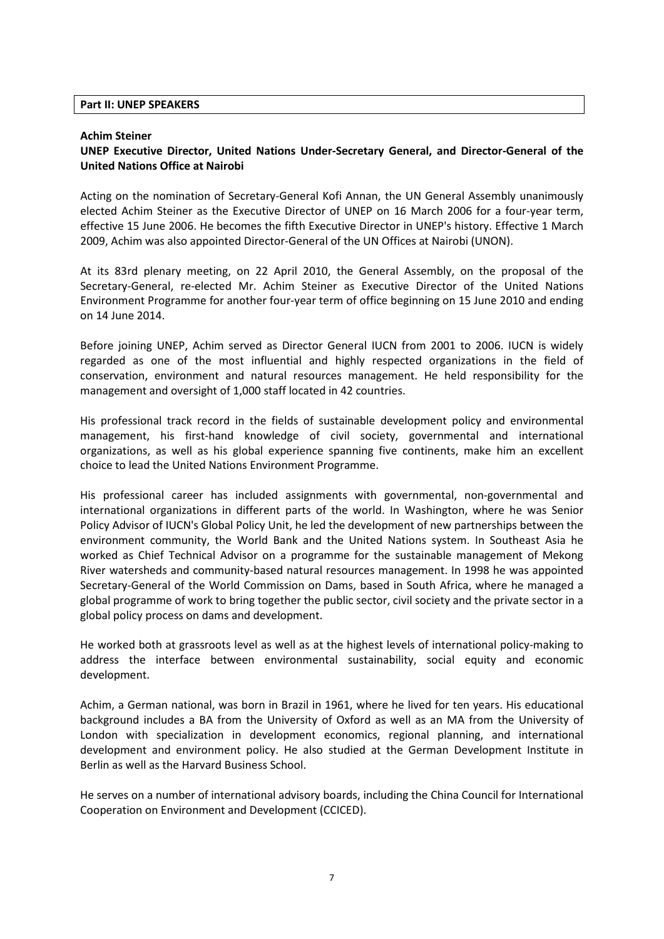#### **Part II: UNEP SPEAKERS**

#### **Achim Steiner**

# **UNEP Executive Director, United Nations Under-Secretary General, and Director-General of the United Nations Office at Nairobi**

Acting on the nomination of Secretary-General Kofi Annan, the UN General Assembly unanimously elected Achim Steiner as the Executive Director of UNEP on 16 March 2006 for a four-year term, effective 15 June 2006. He becomes the fifth Executive Director in UNEP's history. Effective 1 March 2009, Achim was also appointed Director-General of the UN Offices at Nairobi (UNON).

At its 83rd plenary meeting, on 22 April 2010, the General Assembly, on the proposal of the Secretary-General, re-elected Mr. Achim Steiner as Executive Director of the United Nations Environment Programme for another [four-year term](http://www.unep.org/Documents.Multilingual/Default.asp?DocumentID=620&ArticleID=6542&l=en&t=long) of office beginning on 15 June 2010 and ending on 14 June 2014.

Before joining UNEP, Achim served as Director General IUCN from 2001 to 2006. IUCN is widely regarded as one of the most influential and highly respected organizations in the field of conservation, environment and natural resources management. He held responsibility for the management and oversight of 1,000 staff located in 42 countries.

His professional track record in the fields of sustainable development policy and environmental management, his first-hand knowledge of civil society, governmental and international organizations, as well as his global experience spanning five continents, make him an excellent choice to lead the United Nations Environment Programme.

His professional career has included assignments with governmental, non-governmental and international organizations in different parts of the world. In Washington, where he was Senior Policy Advisor of IUCN's Global Policy Unit, he led the development of new partnerships between the environment community, the World Bank and the United Nations system. In Southeast Asia he worked as Chief Technical Advisor on a programme for the sustainable management of Mekong River watersheds and community-based natural resources management. In 1998 he was appointed Secretary-General of the World Commission on Dams, based in South Africa, where he managed a global programme of work to bring together the public sector, civil society and the private sector in a global policy process on dams and development.

He worked both at grassroots level as well as at the highest levels of international policy-making to address the interface between environmental sustainability, social equity and economic development.

Achim, a German national, was born in Brazil in 1961, where he lived for ten years. His educational background includes a BA from the University of Oxford as well as an MA from the University of London with specialization in development economics, regional planning, and international development and environment policy. He also studied at the German Development Institute in Berlin as well as the Harvard Business School.

He serves on a number of international advisory boards, including the China Council for International Cooperation on Environment and Development (CCICED).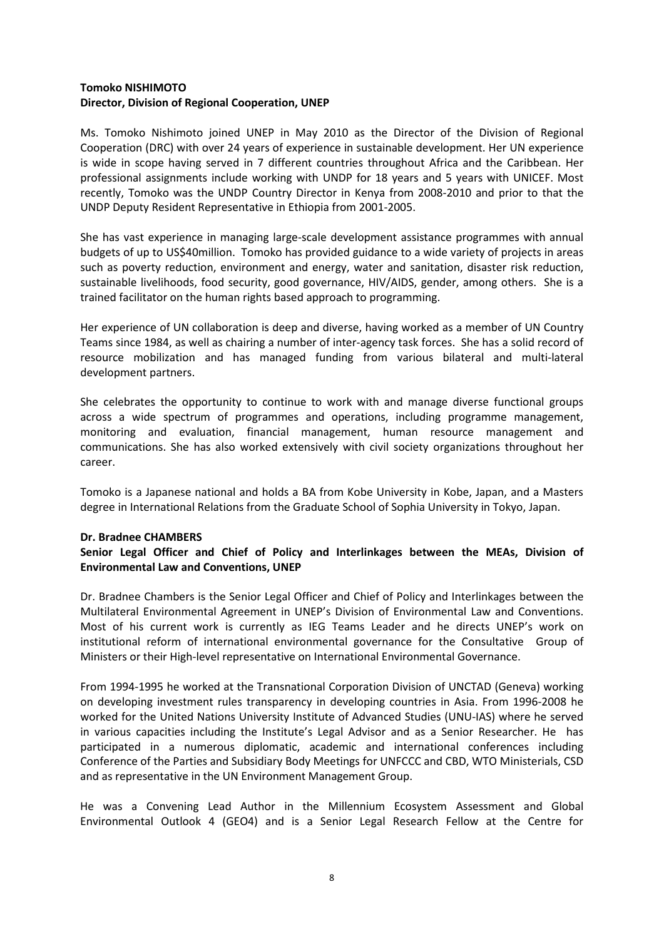# **Tomoko NISHIMOTO Director, Division of Regional Cooperation, UNEP**

Ms. Tomoko Nishimoto joined UNEP in May 2010 as the Director of the Division of Regional Cooperation (DRC) with over 24 years of experience in sustainable development. Her UN experience is wide in scope having served in 7 different countries throughout Africa and the Caribbean. Her professional assignments include working with UNDP for 18 years and 5 years with UNICEF. Most recently, Tomoko was the UNDP Country Director in Kenya from 2008-2010 and prior to that the UNDP Deputy Resident Representative in Ethiopia from 2001-2005.

She has vast experience in managing large-scale development assistance programmes with annual budgets of up to US\$40million. Tomoko has provided guidance to a wide variety of projects in areas such as poverty reduction, environment and energy, water and sanitation, disaster risk reduction, sustainable livelihoods, food security, good governance, HIV/AIDS, gender, among others. She is a trained facilitator on the human rights based approach to programming.

Her experience of UN collaboration is deep and diverse, having worked as a member of UN Country Teams since 1984, as well as chairing a number of inter-agency task forces. She has a solid record of resource mobilization and has managed funding from various bilateral and multi-lateral development partners.

She celebrates the opportunity to continue to work with and manage diverse functional groups across a wide spectrum of programmes and operations, including programme management, monitoring and evaluation, financial management, human resource management and communications. She has also worked extensively with civil society organizations throughout her career.

Tomoko is a Japanese national and holds a BA from Kobe University in Kobe, Japan, and a Masters degree in International Relations from the Graduate School of Sophia University in Tokyo, Japan.

## **Dr. Bradnee CHAMBERS**

# **Senior Legal Officer and Chief of Policy and Interlinkages between the MEAs, Division of Environmental Law and Conventions, UNEP**

Dr. Bradnee Chambers is the Senior Legal Officer and Chief of Policy and Interlinkages between the Multilateral Environmental Agreement in UNEP's Division of Environmental Law and Conventions. Most of his current work is currently as IEG Teams Leader and he directs UNEP's work on institutional reform of international environmental governance for the Consultative Group of Ministers or their High-level representative on International Environmental Governance.

From 1994-1995 he worked at the Transnational Corporation Division of UNCTAD (Geneva) working on developing investment rules transparency in developing countries in Asia. From 1996-2008 he worked for the United Nations University Institute of Advanced Studies (UNU-IAS) where he served in various capacities including the Institute's Legal Advisor and as a Senior Researcher. He has participated in a numerous diplomatic, academic and international conferences including [Conference of the Parties](http://www.biodiv.org/convention/cops.asp) and Subsidiary Body Meetings for U[NFCCC](http://www.unfccc.de/) and [CBD,](http://www.biodiv.org/) [WTO Ministerials,](http://www.wto.org/english/thewto_e/minist_e/minist_e.htm) [CSD](http://www.un.org/esa/sustdev/csd.htm) and as representative in the UN Environment Management Group.

He was a Convening Lead Author in the [Millennium Ecosystem Assessment](http://www.millenniumassessment.org/) and Global Environmental Outlook 4 (GEO4) and is a Senior Legal Research Fellow at the [Centre for](http://www.cisdl.org/)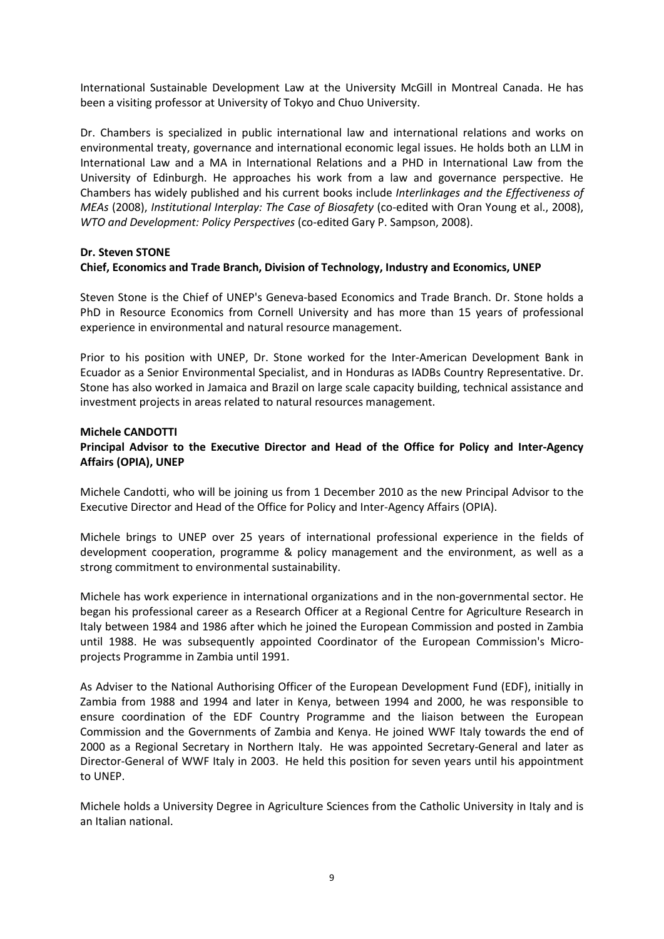International Sustainable Development Law at the University McGill in Montreal Canada. He has been a visiting professor at University of Tokyo and Chuo University.

Dr. Chambers is specialized in public international law and international relations and works on environmental treaty, governance and international economic legal issues. He holds both an LLM in International Law and a MA in International Relations and a PHD in International Law from the University of Edinburgh. He approaches his work from a law and governance perspective. He Chambers has widely published and his current books include *Interlinkages and the Effectiveness of MEAs* (2008), *Institutional Interplay: The Case of Biosafety* (co-edited with Oran Young et al., 2008), *WTO and Development: Policy Perspectives* (co-edited Gary P. Sampson, 2008).

#### **Dr. Steven STONE**

## **Chief, Economics and Trade Branch, Division of Technology, Industry and Economics, UNEP**

Steven Stone is the Chief of UNEP's Geneva-based Economics and Trade Branch. Dr. Stone holds a PhD in Resource Economics from Cornell University and has more than 15 years of professional experience in environmental and natural resource management.

Prior to his position with UNEP, Dr. Stone worked for the Inter-American Development Bank in Ecuador as a Senior Environmental Specialist, and in Honduras as IADBs Country Representative. Dr. Stone has also worked in Jamaica and Brazil on large scale capacity building, technical assistance and investment projects in areas related to natural resources management.

#### **Michele CANDOTTI**

## **Principal Advisor to the Executive Director and Head of the Office for Policy and Inter-Agency Affairs (OPIA), UNEP**

Michele Candotti, who will be joining us from 1 December 2010 as the new Principal Advisor to the Executive Director and Head of the Office for Policy and Inter-Agency Affairs (OPIA).

Michele brings to UNEP over 25 years of international professional experience in the fields of development cooperation, programme & policy management and the environment, as well as a strong commitment to environmental sustainability.

Michele has work experience in international organizations and in the non-governmental sector. He began his professional career as a Research Officer at a Regional Centre for Agriculture Research in Italy between 1984 and 1986 after which he joined the European Commission and posted in Zambia until 1988. He was subsequently appointed Coordinator of the European Commission's Microprojects Programme in Zambia until 1991.

As Adviser to the National Authorising Officer of the European Development Fund (EDF), initially in Zambia from 1988 and 1994 and later in Kenya, between 1994 and 2000, he was responsible to ensure coordination of the EDF Country Programme and the liaison between the European Commission and the Governments of Zambia and Kenya. He joined WWF Italy towards the end of 2000 as a Regional Secretary in Northern Italy. He was appointed Secretary-General and later as Director-General of WWF Italy in 2003. He held this position for seven years until his appointment to UNEP.

Michele holds a University Degree in Agriculture Sciences from the Catholic University in Italy and is an Italian national.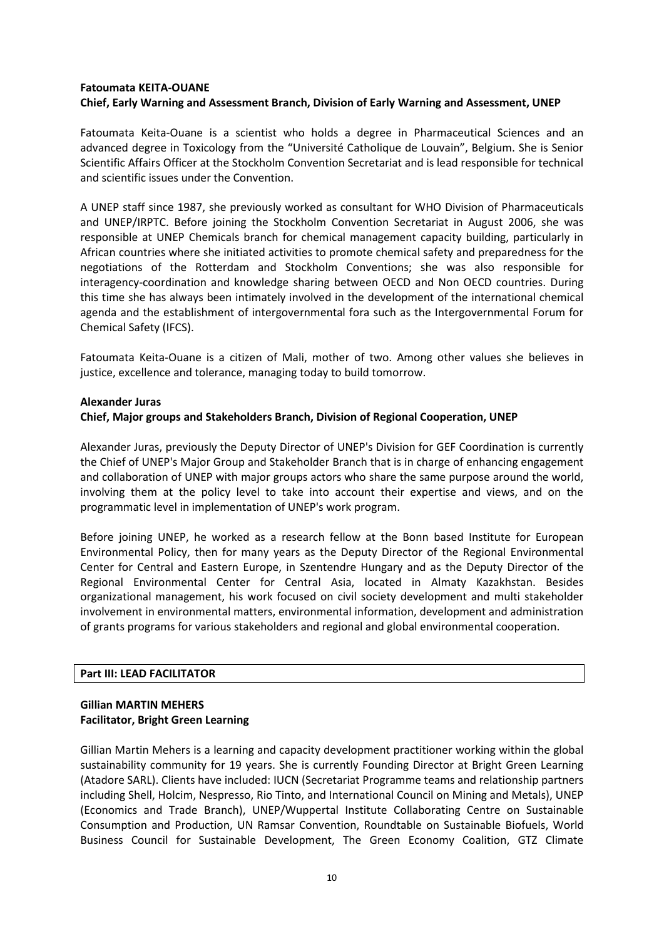#### **Fatoumata KEITA-OUANE**

# **Chief, Early Warning and Assessment Branch, Division of Early Warning and Assessment, UNEP**

Fatoumata Keita-Ouane is a scientist who holds a degree in Pharmaceutical Sciences and an advanced degree in Toxicology from the "Université Catholique de Louvain", Belgium. She is Senior Scientific Affairs Officer at the Stockholm Convention Secretariat and is lead responsible for technical and scientific issues under the Convention.

A UNEP staff since 1987, she previously worked as consultant for WHO Division of Pharmaceuticals and UNEP/IRPTC. Before joining the Stockholm Convention Secretariat in August 2006, she was responsible at UNEP Chemicals branch for chemical management capacity building, particularly in African countries where she initiated activities to promote chemical safety and preparedness for the negotiations of the Rotterdam and Stockholm Conventions; she was also responsible for interagency-coordination and knowledge sharing between OECD and Non OECD countries. During this time she has always been intimately involved in the development of the international chemical agenda and the establishment of intergovernmental fora such as the Intergovernmental Forum for Chemical Safety (IFCS).

Fatoumata Keita-Ouane is a citizen of Mali, mother of two. Among other values she believes in justice, excellence and tolerance, managing today to build tomorrow.

#### **Alexander Juras**

## **Chief, Major groups and Stakeholders Branch, Division of Regional Cooperation, UNEP**

Alexander Juras, previously the Deputy Director of UNEP's Division for GEF Coordination is currently the Chief of UNEP's Major Group and Stakeholder Branch that is in charge of enhancing engagement and collaboration of UNEP with major groups actors who share the same purpose around the world, involving them at the policy level to take into account their expertise and views, and on the programmatic level in implementation of UNEP's work program.

Before joining UNEP, he worked as a research fellow at the Bonn based Institute for European Environmental Policy, then for many years as the Deputy Director of the Regional Environmental Center for Central and Eastern Europe, in Szentendre Hungary and as the Deputy Director of the Regional Environmental Center for Central Asia, located in Almaty Kazakhstan. Besides organizational management, his work focused on civil society development and multi stakeholder involvement in environmental matters, environmental information, development and administration of grants programs for various stakeholders and regional and global environmental cooperation.

## **Part III: LEAD FACILITATOR**

## **Gillian MARTIN MEHERS Facilitator, Bright Green Learning**

Gillian Martin Mehers is a learning and capacity development practitioner working within the global sustainability community for 19 years. She is currently Founding Director at Bright Green Learning (Atadore SARL). Clients have included: IUCN (Secretariat Programme teams and relationship partners including Shell, Holcim, Nespresso, Rio Tinto, and International Council on Mining and Metals), UNEP (Economics and Trade Branch), UNEP/Wuppertal Institute Collaborating Centre on Sustainable Consumption and Production, UN Ramsar Convention, Roundtable on Sustainable Biofuels, World Business Council for Sustainable Development, The Green Economy Coalition, GTZ Climate